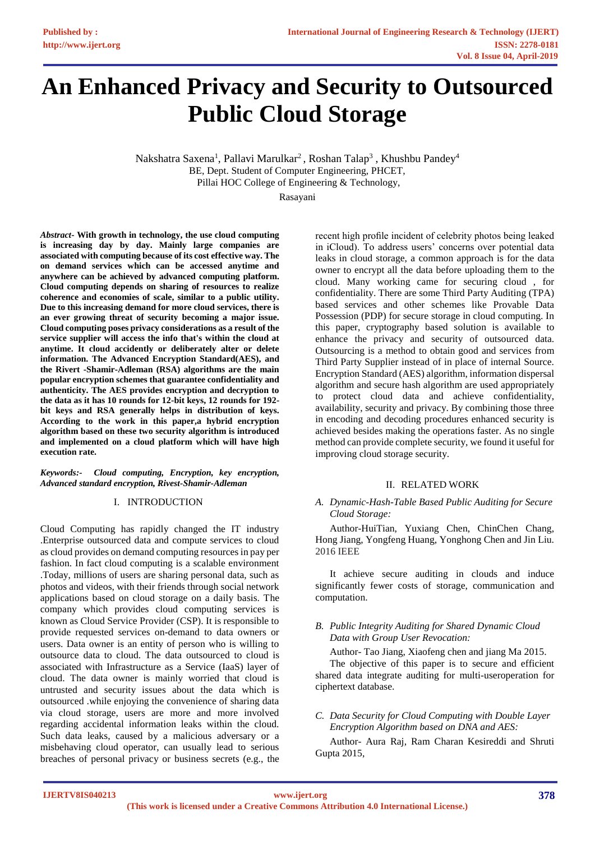# **An Enhanced Privacy and Security to Outsourced Public Cloud Storage**

Nakshatra Saxena<sup>1</sup>, Pallavi Marulkar<sup>2</sup>, Roshan Talap<sup>3</sup>, Khushbu Pandey<sup>4</sup> BE, Dept. Student of Computer Engineering, PHCET, Pillai HOC College of Engineering & Technology,

Rasayani

*Abstract***- With growth in technology, the use cloud computing is increasing day by day. Mainly large companies are associated with computing because of its cost effective way. The on demand services which can be accessed anytime and anywhere can be achieved by advanced computing platform. Cloud computing depends on sharing of resources to realize coherence and economies of scale, similar to a public utility. Due to this increasing demand for more cloud services, there is an ever growing threat of security becoming a major issue. Cloud computing poses privacy considerations as a result of the service supplier will access the info that's within the cloud at anytime. It cloud accidently or deliberately alter or delete information. The Advanced Encryption Standard(AES), and the Rivert -Shamir-Adleman (RSA) algorithms are the main popular encryption schemes that guarantee confidentiality and authenticity. The AES provides encryption and decryption to the data as it has 10 rounds for 12-bit keys, 12 rounds for 192 bit keys and RSA generally helps in distribution of keys. According to the work in this paper,a hybrid encryption algorithm based on these two security algorithm is introduced and implemented on a cloud platform which will have high execution rate.**

#### *Keywords:- Cloud computing, Encryption, key encryption, Advanced standard encryption, Rivest-Shamir-Adleman*

## I. INTRODUCTION

Cloud Computing has rapidly changed the IT industry .Enterprise outsourced data and compute services to cloud as cloud provides on demand computing resources in pay per fashion. In fact cloud computing is a scalable environment .Today, millions of users are sharing personal data, such as photos and videos, with their friends through social network applications based on cloud storage on a daily basis. The company which provides cloud computing services is known as Cloud Service Provider (CSP). It is responsible to provide requested services on-demand to data owners or users. Data owner is an entity of person who is willing to outsource data to cloud. The data outsourced to cloud is associated with Infrastructure as a Service (IaaS) layer of cloud. The data owner is mainly worried that cloud is untrusted and security issues about the data which is outsourced .while enjoying the convenience of sharing data via cloud storage, users are more and more involved regarding accidental information leaks within the cloud. Such data leaks, caused by a malicious adversary or a misbehaving cloud operator, can usually lead to serious breaches of personal privacy or business secrets (e.g., the

recent high profile incident of celebrity photos being leaked in iCloud). To address users' concerns over potential data leaks in cloud storage, a common approach is for the data owner to encrypt all the data before uploading them to the cloud. Many working came for securing cloud , for confidentiality. There are some Third Party Auditing (TPA) based services and other schemes like Provable Data Possession (PDP) for secure storage in cloud computing. In this paper, cryptography based solution is available to enhance the privacy and security of outsourced data. Outsourcing is a method to obtain good and services from Third Party Supplier instead of in place of internal Source. Encryption Standard (AES) algorithm, information dispersal algorithm and secure hash algorithm are used appropriately to protect cloud data and achieve confidentiality, availability, security and privacy. By combining those three in encoding and decoding procedures enhanced security is achieved besides making the operations faster. As no single method can provide complete security, we found it useful for improving cloud storage security.

## II. RELATED WORK

# *A. Dynamic-Hash-Table Based Public Auditing for Secure Cloud Storage:*

Author-HuiTian, Yuxiang Chen, ChinChen Chang, Hong Jiang, Yongfeng Huang, Yonghong Chen and Jin Liu. 2016 IEEE

It achieve secure auditing in clouds and induce significantly fewer costs of storage, communication and computation.

## *B. Public Integrity Auditing for Shared Dynamic Cloud Data with Group User Revocation:*

Author- Tao Jiang, Xiaofeng chen and jiang Ma 2015.

The objective of this paper is to secure and efficient shared data integrate auditing for multi-useroperation for ciphertext database.

# *C. Data Security for Cloud Computing with Double Layer Encryption Algorithm based on DNA and AES:*

Author- Aura Raj, Ram Charan Kesireddi and Shruti Gupta 2015,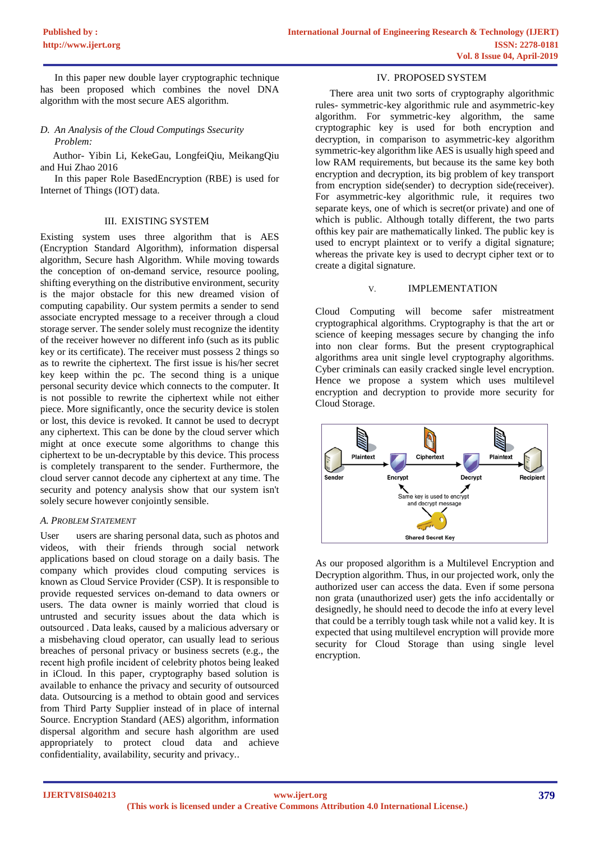In this paper new double layer cryptographic technique has been proposed which combines the novel DNA algorithm with the most secure AES algorithm.

*D. An Analysis of the Cloud Computings Ssecurity Problem:*

 Author- Yibin Li, KekeGau, LongfeiQiu, MeikangQiu and Hui Zhao 2016

In this paper Role BasedEncryption (RBE) is used for Internet of Things (IOT) data.

#### III. EXISTING SYSTEM

Existing system uses three algorithm that is AES (Encryption Standard Algorithm), information dispersal algorithm, Secure hash Algorithm. While moving towards the conception of on-demand service, resource pooling, shifting everything on the distributive environment, security is the major obstacle for this new dreamed vision of computing capability. Our system permits a sender to send associate encrypted message to a receiver through a cloud storage server. The sender solely must recognize the identity of the receiver however no different info (such as its public key or its certificate). The receiver must possess 2 things so as to rewrite the ciphertext. The first issue is his/her secret key keep within the pc. The second thing is a unique personal security device which connects to the computer. It is not possible to rewrite the ciphertext while not either piece. More significantly, once the security device is stolen or lost, this device is revoked. It cannot be used to decrypt any ciphertext. This can be done by the cloud server which might at once execute some algorithms to change this ciphertext to be un-decryptable by this device. This process is completely transparent to the sender. Furthermore, the cloud server cannot decode any ciphertext at any time. The security and potency analysis show that our system isn't solely secure however conjointly sensible.

## *A. PROBLEM STATEMENT*

User users are sharing personal data, such as photos and videos, with their friends through social network applications based on cloud storage on a daily basis. The company which provides cloud computing services is known as Cloud Service Provider (CSP). It is responsible to provide requested services on-demand to data owners or users. The data owner is mainly worried that cloud is untrusted and security issues about the data which is outsourced . Data leaks, caused by a malicious adversary or a misbehaving cloud operator, can usually lead to serious breaches of personal privacy or business secrets (e.g., the recent high profile incident of celebrity photos being leaked in iCloud. In this paper, cryptography based solution is available to enhance the privacy and security of outsourced data. Outsourcing is a method to obtain good and services from Third Party Supplier instead of in place of internal Source. Encryption Standard (AES) algorithm, information dispersal algorithm and secure hash algorithm are used appropriately to protect cloud data and achieve confidentiality, availability, security and privacy..

#### IV. PROPOSED SYSTEM

There area unit two sorts of cryptography algorithmic rules- symmetric-key algorithmic rule and asymmetric-key algorithm. For symmetric-key algorithm, the same cryptographic key is used for both encryption and decryption, in comparison to asymmetric-key algorithm symmetric-key algorithm like AES is usually high speed and low RAM requirements, but because its the same key both encryption and decryption, its big problem of key transport from encryption side(sender) to decryption side(receiver). For asymmetric-key algorithmic rule, it requires two separate keys, one of which is secret(or private) and one of which is public. Although totally different, the two parts ofthis key pair are mathematically linked. The public key is used to encrypt plaintext or to verify a digital signature; whereas the private key is used to decrypt cipher text or to create a digital signature.

### V. IMPLEMENTATION

Cloud Computing will become safer mistreatment cryptographical algorithms. Cryptography is that the art or science of keeping messages secure by changing the info into non clear forms. But the present cryptographical algorithms area unit single level cryptography algorithms. Cyber criminals can easily cracked single level encryption. Hence we propose a system which uses multilevel encryption and decryption to provide more security for Cloud Storage.



As our proposed algorithm is a Multilevel Encryption and Decryption algorithm. Thus, in our projected work, only the authorized user can access the data. Even if some persona non grata (unauthorized user) gets the info accidentally or designedly, he should need to decode the info at every level that could be a terribly tough task while not a valid key. It is expected that using multilevel encryption will provide more security for Cloud Storage than using single level encryption.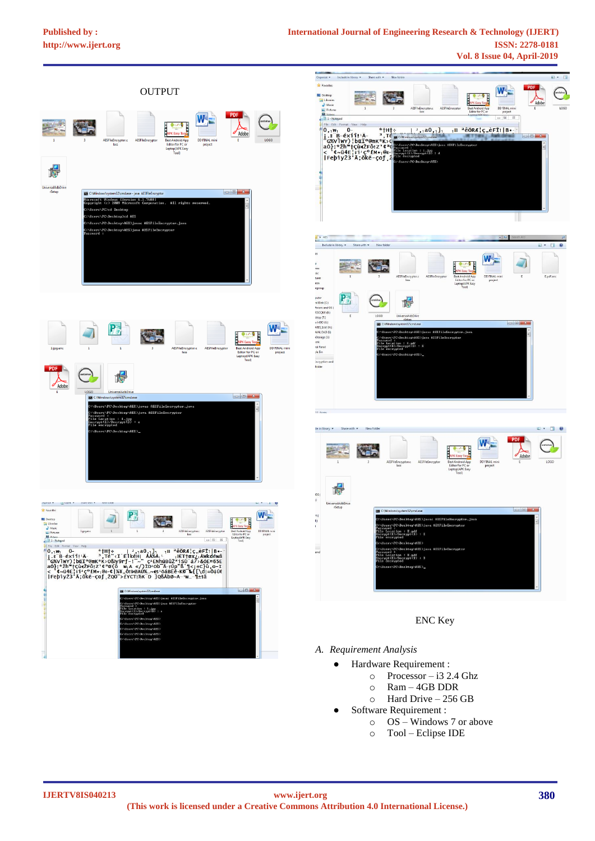# **[Published by :](www.ijert.org)**



:<br>ation : 1.jpg<br>E>∕Decrypt(D) : e<br>runted

"<br>\*\*\*\*\*\*\*\*\*\*\*\*



# ENC Key

- *A. Requirement Analysis*
	- Hardware Requirement :
		- $\circ$  Processor i3 2.4 Ghz
		- o Ram 4GB DDR
		- o Hard Drive 256 GB
	- Software Requirement :
		- o OS Windows 7 or above
		- o Tool Eclipse IDE

 $\overline{W}$ .

 $\sim$  0  $\sim$